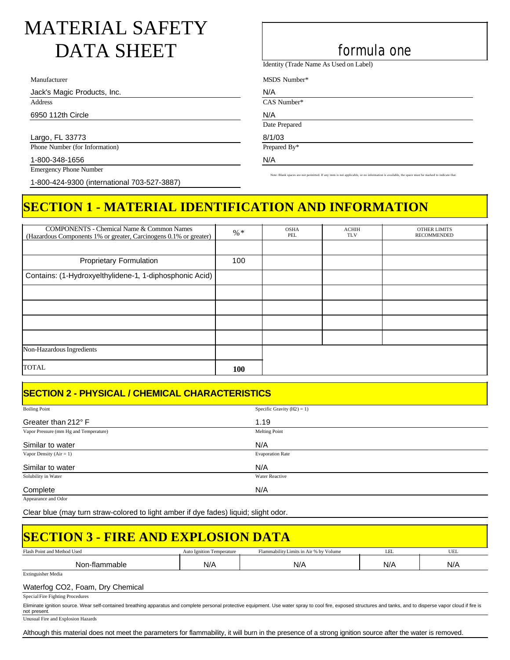# MATERIAL SAFETY DATA SHEET formula one

Manufacturer

Jack's Magic Products, Inc.

Address

6950 112th Circle

Largo, FL 33773 Phone Number (for Information)

1-800-348-1656

Emergency Phone Number

1-800-424-9300 (international 703-527-3887)

Identity (Trade Name As Used on Label)

MSDS Number\*

N/A CAS Number\*

N/A

Date Prepared

8/1/03 Prepared By\*

N/A

Note: Blank spaces are not permitted. If any item is not applicable, or no information is available.

## **SECTION 1 - MATERIAL IDENTIFICATION AND INFORMATION**

| <b>COMPONENTS - Chemical Name &amp; Common Names</b><br>(Hazardous Components 1% or greater, Carcinogens 0.1% or greater) | $%$ *      | <b>OSHA</b><br>PEL | <b>ACHIH</b><br><b>TLV</b> | <b>OTHER LIMITS</b><br><b>RECOMMENDED</b> |
|---------------------------------------------------------------------------------------------------------------------------|------------|--------------------|----------------------------|-------------------------------------------|
|                                                                                                                           |            |                    |                            |                                           |
| <b>Proprietary Formulation</b>                                                                                            | 100        |                    |                            |                                           |
| Contains: (1-Hydroxyelthylidene-1, 1-diphosphonic Acid)                                                                   |            |                    |                            |                                           |
|                                                                                                                           |            |                    |                            |                                           |
|                                                                                                                           |            |                    |                            |                                           |
|                                                                                                                           |            |                    |                            |                                           |
|                                                                                                                           |            |                    |                            |                                           |
| Non-Hazardous Ingredients                                                                                                 |            |                    |                            |                                           |
| <b>TOTAL</b>                                                                                                              | <b>100</b> |                    |                            |                                           |

## **SECTION 2 - PHYSICAL / CHEMICAL CHARACTERISTICS**

| <b>Boiling Point</b>                   | Specific Gravity $(H2) = 1$ ) |
|----------------------------------------|-------------------------------|
| Greater than $212^{\circ}$ F           | 1.19                          |
| Vapor Pressure (mm Hg and Temperature) | Melting Point                 |
| Similar to water                       | N/A                           |
| Vapor Density $(Air = 1)$              | <b>Evaporation Rate</b>       |
| Similar to water                       | N/A                           |
| Solubility in Water                    | Water Reactive                |
| Complete                               | N/A                           |

Appearance and Odor

Clear blue (may turn straw-colored to light amber if dye fades) liquid; slight odor.

| <b>SECTION 3 - FIRE AND EXPLOSION DATA</b>                                                                                                                                                                                        |                                  |                                        |     |     |
|-----------------------------------------------------------------------------------------------------------------------------------------------------------------------------------------------------------------------------------|----------------------------------|----------------------------------------|-----|-----|
| Flash Point and Method Used                                                                                                                                                                                                       | <b>Auto Ignition Temperature</b> | Flammability Limits in Air % by Volume | LEL | UEL |
| Non-flammable                                                                                                                                                                                                                     | N/A                              | N/A                                    | N/A | N/A |
| <b>Extinguisher Media</b>                                                                                                                                                                                                         |                                  |                                        |     |     |
| Waterfog CO2, Foam, Dry Chemical                                                                                                                                                                                                  |                                  |                                        |     |     |
| Special Fire Fighting Procedures                                                                                                                                                                                                  |                                  |                                        |     |     |
| Eliminate ignition source. Wear self-contained breathing apparatus and complete personal protective equipment. Use water spray to cool fire, exposed structures and tanks, and to disperse vapor cloud if fire is<br>not present. |                                  |                                        |     |     |

Unusual Fire and Explosion Hazards

Although this material does not meet the parameters for flammability, it will burn in the presence of a strong ignition source after the water is removed.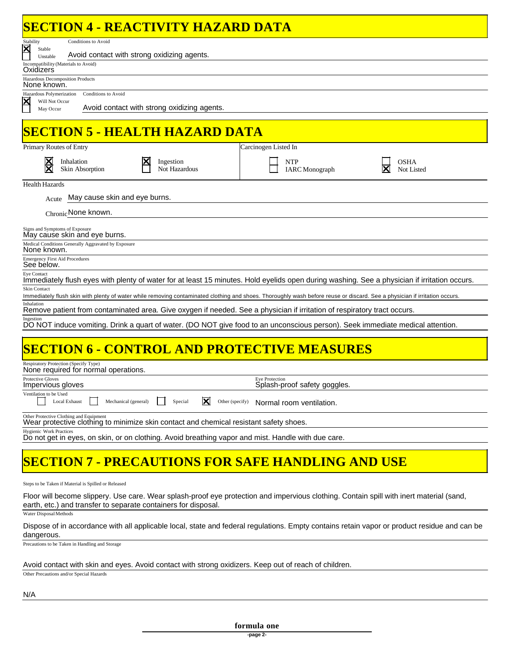## **SECTION 4 - REACTIVITY HAZARD DATA**

|                                                     |                                                     | SECTION 4 - REACTIVITY HAZARD DATA                                                     |                                                                                                                                                                            |             |
|-----------------------------------------------------|-----------------------------------------------------|----------------------------------------------------------------------------------------|----------------------------------------------------------------------------------------------------------------------------------------------------------------------------|-------------|
| Stability<br>Stable                                 | Conditions to Avoid                                 |                                                                                        |                                                                                                                                                                            |             |
| Unstable                                            |                                                     | Avoid contact with strong oxidizing agents.                                            |                                                                                                                                                                            |             |
| Incompatibility (Materials to Avoid)<br>Oxidizers   |                                                     |                                                                                        |                                                                                                                                                                            |             |
| Hazardous Decomposition Products<br>None known.     |                                                     |                                                                                        |                                                                                                                                                                            |             |
| Hazardous Polymerization                            | <b>Conditions to Avoid</b>                          |                                                                                        |                                                                                                                                                                            |             |
| Will Not Occur<br>May Occur                         |                                                     | Avoid contact with strong oxidizing agents.                                            |                                                                                                                                                                            |             |
|                                                     |                                                     |                                                                                        |                                                                                                                                                                            |             |
|                                                     |                                                     | <b>SECTION 5 - HEALTH HAZARD DATA</b>                                                  |                                                                                                                                                                            |             |
| Primary Routes of Entry                             |                                                     |                                                                                        | Carcinogen Listed In                                                                                                                                                       |             |
|                                                     | Inhalation                                          | Ingestion                                                                              | <b>NTP</b>                                                                                                                                                                 | <b>OSHA</b> |
|                                                     | Skin Absorption                                     | Not Hazardous                                                                          | <b>IARC</b> Monograph                                                                                                                                                      | Not Listed  |
| <b>Health Hazards</b>                               |                                                     |                                                                                        |                                                                                                                                                                            |             |
| Acute                                               | May cause skin and eye burns.                       |                                                                                        |                                                                                                                                                                            |             |
|                                                     | Chronic None known.                                 |                                                                                        |                                                                                                                                                                            |             |
| Signs and Symptoms of Exposure                      | May cause skin and eye burns.                       |                                                                                        |                                                                                                                                                                            |             |
| None known.                                         | Medical Conditions Generally Aggravated by Exposure |                                                                                        |                                                                                                                                                                            |             |
| <b>Emergency First Aid Procedures</b><br>See below. |                                                     |                                                                                        |                                                                                                                                                                            |             |
| Eye Contact                                         |                                                     |                                                                                        | Immediately flush eyes with plenty of water for at least 15 minutes. Hold eyelids open during washing. See a physician if irritation occurs.                               |             |
| <b>Skin Contact</b>                                 |                                                     |                                                                                        | Immediately flush skin with plenty of water while removing contaminated clothing and shoes. Thoroughly wash before reuse or discard. See a physician if irritation occurs. |             |
| Inhalation                                          |                                                     |                                                                                        | Remove patient from contaminated area. Give oxygen if needed. See a physician if irritation of respiratory tract occurs.                                                   |             |
| Ingestion                                           |                                                     |                                                                                        | DO NOT induce vomiting. Drink a quart of water. (DO NOT give food to an unconscious person). Seek immediate medical attention.                                             |             |
|                                                     |                                                     |                                                                                        |                                                                                                                                                                            |             |
|                                                     |                                                     |                                                                                        | <b>SECTION 6 - CONTROL AND PROTECTIVE MEASURES</b>                                                                                                                         |             |
| Respiratory Protection (Specify Type)               | None required for normal operations.                |                                                                                        |                                                                                                                                                                            |             |
| <b>Protective Gloves</b><br>Impervious gloves       |                                                     |                                                                                        | <b>Eye Protection</b><br>Splash-proof safety goggles.                                                                                                                      |             |
| Ventilation to be Used                              | Local Exhaust<br>Mechanical (general)               | ⊠<br>Special<br>Other (specify)                                                        | Normal room ventilation.                                                                                                                                                   |             |
|                                                     | Other Protective Clothing and Equipment             | Wear protective clothing to minimize skin contact and chemical resistant safety shoes. |                                                                                                                                                                            |             |

Do not get in eyes, on skin, or on clothing. Avoid breathing vapor and mist. Handle with due care. Hygienic Work Practices

## **SECTION 7 - PRECAUTIONS FOR SAFE HANDLING AND USE**

Steps to be Taken if Material is Spilled or Released

Floor will become slippery. Use care. Wear splash-proof eye protection and impervious clothing. Contain spill with inert material (sand, earth, etc.) and transfer to separate containers for disposal.

Water Disposal Methods

Dispose of in accordance with all applicable local, state and federal regulations. Empty contains retain vapor or product residue and can be dangerous.

Precautions to be Taken in Handling and Storage

#### Avoid contact with skin and eyes. Avoid contact with strong oxidizers. Keep out of reach of children.

Other Precautions and/or Special Hazards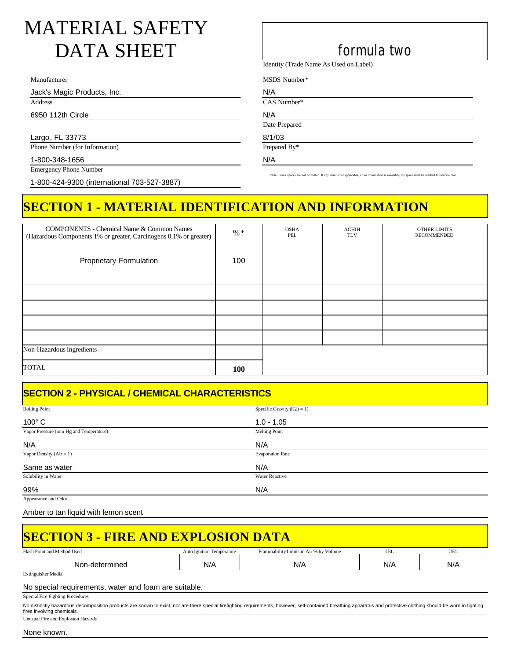# MATERIAL SAFETY DATA SHEET formula two

Manufacturer

Jack's Magic Products, Inc.

Address

6950 112th Circle

Largo, FL 33773 Phone Number (for Information)

1-800-348-1656

Emergency Phone Number

1-800-424-9300 (international 703-527-3887)

Identity (Trade Name As Used on Label)

MSDS Number\*

N/A CAS Number\*

N/A

Date Prepared

8/1/03 Prepared By\*

N/A

Note: Blank spaces are not permitted. If any item is not applicable, or no information is available, the space must be marked to indicate that.

## **SECTION 1 - MATERIAL IDENTIFICATION AND INFORMATION**

| <b>COMPONENTS - Chemical Name &amp; Common Names</b><br>(Hazardous Components 1% or greater, Carcinogens 0.1% or greater) | $% *$      | <b>OSHA</b><br>PEL | <b>ACHIH</b><br><b>TLV</b> | <b>OTHER LIMITS</b><br><b>RECOMMENDED</b> |
|---------------------------------------------------------------------------------------------------------------------------|------------|--------------------|----------------------------|-------------------------------------------|
|                                                                                                                           |            |                    |                            |                                           |
| Proprietary Formulation                                                                                                   | 100        |                    |                            |                                           |
|                                                                                                                           |            |                    |                            |                                           |
|                                                                                                                           |            |                    |                            |                                           |
|                                                                                                                           |            |                    |                            |                                           |
|                                                                                                                           |            |                    |                            |                                           |
|                                                                                                                           |            |                    |                            |                                           |
| Non-Hazardous Ingredients                                                                                                 |            |                    |                            |                                           |
| <b>TOTAL</b>                                                                                                              | <b>100</b> |                    |                            |                                           |

## **SECTION 2 - PHYSICAL / CHEMICAL CHARACTERISTICS**

| <b>Boiling Point</b>                   | Specific Gravity $(H2) = 1$ ) |
|----------------------------------------|-------------------------------|
| $100^{\circ}$ C                        | $1.0 - 1.05$                  |
| Vapor Pressure (mm Hg and Temperature) | <b>Melting Point</b>          |
| N/A                                    | N/A                           |
| Vapor Density $(Air = 1)$              | <b>Evaporation Rate</b>       |
| Same as water                          | N/A                           |
| Solubility in Water                    | <b>Water Reactive</b>         |
| 99%                                    | N/A                           |
| Appearance and Odor                    |                               |

Amber to tan liquid with lemon scent

| <b>SECTION 3 - FIRE AND EXPLOSION DATA</b>            |                                  |                                        |     |     |
|-------------------------------------------------------|----------------------------------|----------------------------------------|-----|-----|
| Flash Point and Method Used                           | <b>Auto Ignition Temperature</b> | Flammability Limits in Air % by Volume | LEL | UEL |
| Non-determined                                        | N/A                              | N/A                                    | N/A | N/A |
| <b>Extinguisher Media</b>                             |                                  |                                        |     |     |
| No special requirements, water and foam are suitable. |                                  |                                        |     |     |
| Special Fire Fighting Procedures                      |                                  |                                        |     |     |
|                                                       |                                  |                                        |     |     |

No distinctly hazardous decomposition products are known to exist, nor are there special firefighting requirements, however, self-contained breathing apparatus and protective clothing should be worn in fighting fires involving chemicals. Unusual Fire and Explosion Hazards

None known.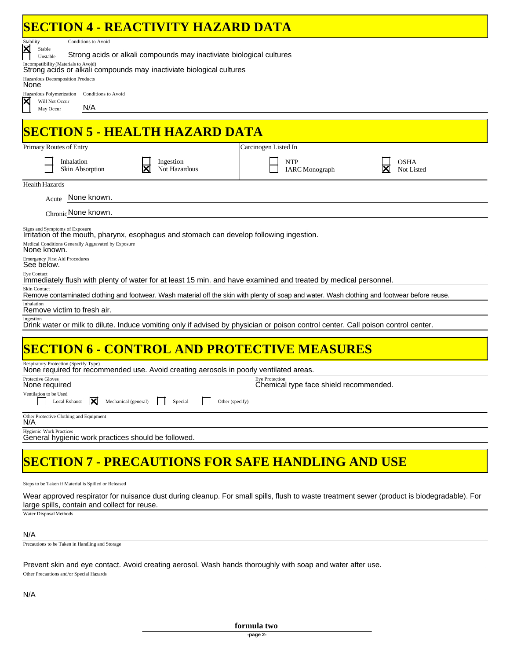| <b>SECTION 4 - REACTIVITY HAZARD DATA</b>                                                                                                                     |  |  |  |  |
|---------------------------------------------------------------------------------------------------------------------------------------------------------------|--|--|--|--|
| <b>Conditions to Avoid</b><br>Stability                                                                                                                       |  |  |  |  |
| $\overline{\mathsf{x}}$<br>Stable<br>Strong acids or alkali compounds may inactiviate biological cultures<br>Unstable                                         |  |  |  |  |
| Incompatibility (Materials to Avoid)<br>Strong acids or alkali compounds may inactiviate biological cultures                                                  |  |  |  |  |
| Hazardous Decomposition Products<br>None                                                                                                                      |  |  |  |  |
| Hazardous Polymerization<br><b>Conditions to Avoid</b><br>Will Not Occur                                                                                      |  |  |  |  |
| N/A<br>May Occur                                                                                                                                              |  |  |  |  |
| <b>SECTION 5 - HEALTH HAZARD DATA</b>                                                                                                                         |  |  |  |  |
| Carcinogen Listed In<br>Primary Routes of Entry                                                                                                               |  |  |  |  |
| Inhalation<br>Ingestion<br><b>NTP</b><br>OSHA<br>Skin Absorption<br>Not Hazardous<br><b>IARC</b> Monograph<br>Not Listed                                      |  |  |  |  |
| <b>Health Hazards</b>                                                                                                                                         |  |  |  |  |
| None known.<br>Acute                                                                                                                                          |  |  |  |  |
| Chronic None known.                                                                                                                                           |  |  |  |  |
| Signs and Symptoms of Exposure<br>Irritation of the mouth, pharynx, esophagus and stomach can develop following ingestion.                                    |  |  |  |  |
| Medical Conditions Generally Aggravated by Exposure<br>None known.                                                                                            |  |  |  |  |
| <b>Emergency First Aid Procedures</b><br>See below.                                                                                                           |  |  |  |  |
| Eye Contact<br>Immediately flush with plenty of water for at least 15 min. and have examined and treated by medical personnel.                                |  |  |  |  |
| Skin Contact<br>Remove contaminated clothing and footwear. Wash material off the skin with plenty of soap and water. Wash clothing and footwear before reuse. |  |  |  |  |
| Inhalation<br>Remove victim to fresh air.                                                                                                                     |  |  |  |  |
| Ingestion<br>Drink water or milk to dilute. Induce vomiting only if advised by physician or poison control center. Call poison control center.                |  |  |  |  |
|                                                                                                                                                               |  |  |  |  |
| <b>SECTION 6 - CONTROL AND PROTECTIVE MEASURES</b>                                                                                                            |  |  |  |  |
| Respiratory Protection (Specify Type)<br>None required for recommended use. Avoid creating aerosols in poorly ventilated areas.                               |  |  |  |  |
| <b>Protective Gloves</b><br><b>Eye Protection</b><br>Chemical type face shield recommended.<br>None required                                                  |  |  |  |  |
| Ventilation to be Used<br>IХ<br>Local Exhaust<br>Mechanical (general)<br>Special<br>Other (specify)                                                           |  |  |  |  |
| Other Protective Clothing and Equipment<br>N/A                                                                                                                |  |  |  |  |
| <b>Hygienic Work Practices</b><br>General hygienic work practices should be followed.                                                                         |  |  |  |  |
|                                                                                                                                                               |  |  |  |  |
| <b>SECTION 7 - PRECAUTIONS FOR SAFE HANDLING AND USE</b>                                                                                                      |  |  |  |  |

Steps to be Taken if Material is Spilled or Released

Wear approved respirator for nuisance dust during cleanup. For small spills, flush to waste treatment sewer (product is biodegradable). For large spills, contain and collect for reuse.

Water Disposal Methods

### N/A

Precautions to be Taken in Handling and Storage

### Prevent skin and eye contact. Avoid creating aerosol. Wash hands thoroughly with soap and water after use.

Other Precautions and/or Special Hazards

### N/A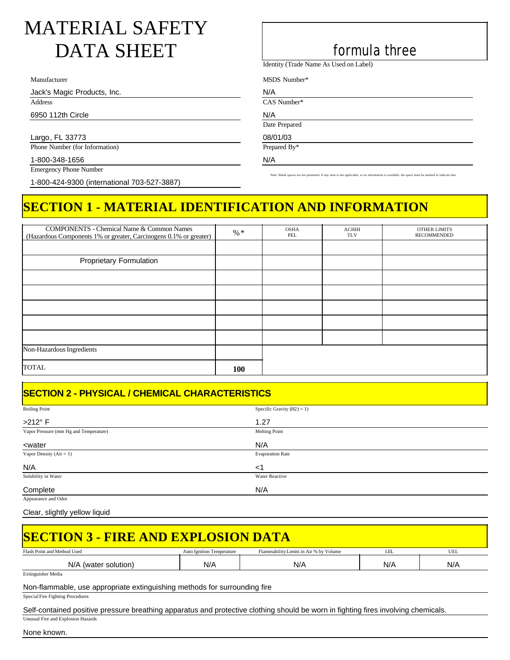# MATERIAL SAFETY DATA SHEET formula three

Manufacturer

Jack's Magic Products, Inc.

Address

6950 112th Circle

Largo, FL 33773 Phone Number (for Information)

1-800-348-1656

Emergency Phone Number

1-800-424-9300 (international 703-527-3887)

Identity (Trade Name As Used on Label)

MSDS Number\*

N/A CAS Number\*

N/A

Date Prepared

08/01/03 Prepared By\*

N/A

Note: Blank spaces are not permitted. If any item is not applicable, or no information is available, the space must be marked to indicate that

## **SECTION 1 - MATERIAL IDENTIFICATION AND INFORMATION**

| <b>COMPONENTS - Chemical Name &amp; Common Names</b>              |            | <b>OSHA</b> | <b>ACHIH</b> | OTHER LIMITS       |
|-------------------------------------------------------------------|------------|-------------|--------------|--------------------|
| (Hazardous Components 1% or greater, Carcinogens 0.1% or greater) | $% *$      | PEL         | <b>TLV</b>   | <b>RECOMMENDED</b> |
|                                                                   |            |             |              |                    |
| Proprietary Formulation                                           |            |             |              |                    |
|                                                                   |            |             |              |                    |
|                                                                   |            |             |              |                    |
|                                                                   |            |             |              |                    |
|                                                                   |            |             |              |                    |
|                                                                   |            |             |              |                    |
| Non-Hazardous Ingredients                                         |            |             |              |                    |
| <b>TOTAL</b>                                                      | <b>100</b> |             |              |                    |

## **SECTION 2 - PHYSICAL / CHEMICAL CHARACTERISTICS**

| <b>Boiling Point</b>                         | Specific Gravity $(H2) = 1$ ) |  |
|----------------------------------------------|-------------------------------|--|
| $>212^\circ$ F                               | 1.27                          |  |
| Vapor Pressure (mm Hg and Temperature)       | <b>Melting Point</b>          |  |
| <water< td=""><td>N/A</td><td></td></water<> | N/A                           |  |
| Vapor Density $(Air = 1)$                    | <b>Evaporation Rate</b>       |  |
| N/A                                          | $<$ 1                         |  |
| Solubility in Water                          | Water Reactive                |  |
| Complete                                     | N/A                           |  |
| Appearance and Odor                          |                               |  |

Clear, slightly yellow liquid

| Flash Point and Method Used                                                                                   | <b>Auto Ignition Temperature</b> | Flammability Limits in Air % by Volume | LEL | UEL |
|---------------------------------------------------------------------------------------------------------------|----------------------------------|----------------------------------------|-----|-----|
| N/A (water solution)                                                                                          | N/A                              | N/A                                    | N/A | N/A |
| <b>Extinguisher Media</b>                                                                                     |                                  |                                        |     |     |
| Non-flammable, use appropriate extinguishing methods for surrounding fire<br>Special Fire Fighting Procedures |                                  |                                        |     |     |

Unusual Fire and Explosion Hazards

None known.